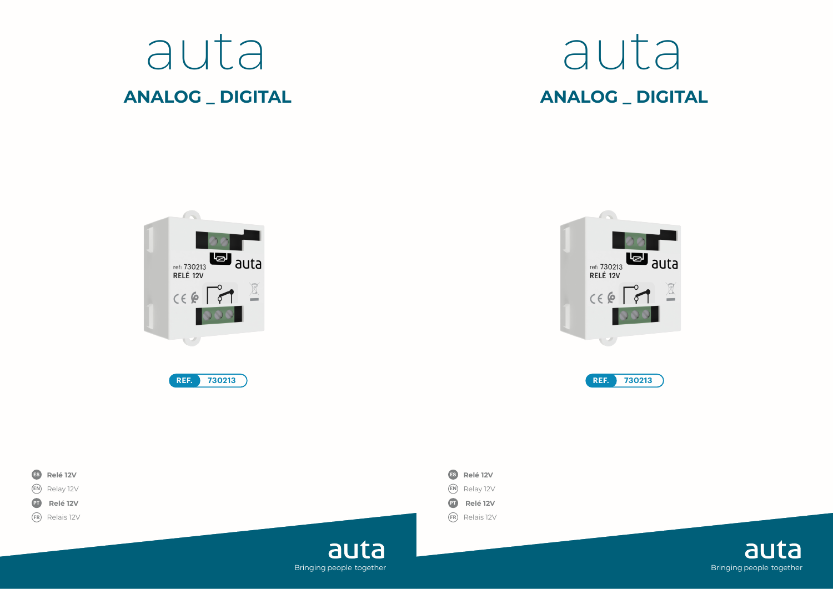









auta